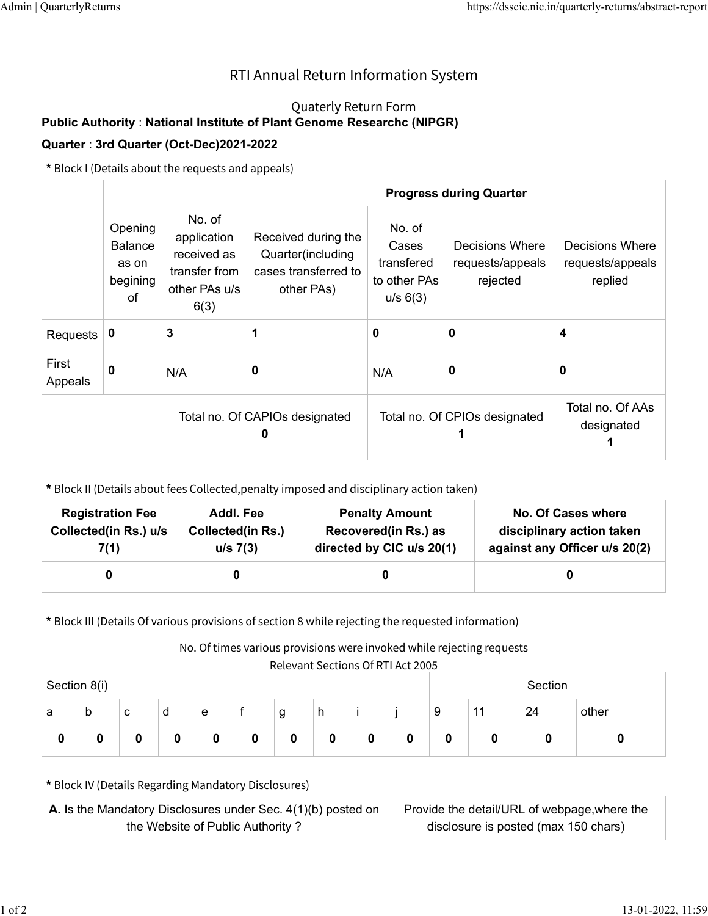## RTI Annual Return Information System

## Quaterly Return Form

## **Public Authority** : **National Institute of Plant Genome Researchc (NIPGR)**

## **Quarter** : **3rd Quarter (Oct-Dec)2021-2022**

**\*** Block I (Details about the requests and appeals)

|                  |                                                      |                                                                                | <b>Progress during Quarter</b>                                                 |                                                           |                                                 |                                                |  |  |
|------------------|------------------------------------------------------|--------------------------------------------------------------------------------|--------------------------------------------------------------------------------|-----------------------------------------------------------|-------------------------------------------------|------------------------------------------------|--|--|
|                  | Opening<br><b>Balance</b><br>as on<br>begining<br>οf | No. of<br>application<br>received as<br>transfer from<br>other PAs u/s<br>6(3) | Received during the<br>Quarter(including<br>cases transferred to<br>other PAs) | No. of<br>Cases<br>transfered<br>to other PAs<br>u/s 6(3) | Decisions Where<br>requests/appeals<br>rejected | Decisions Where<br>requests/appeals<br>replied |  |  |
| Requests         | 0                                                    | 3                                                                              | 1                                                                              | 0                                                         | 0                                               | 4                                              |  |  |
| First<br>Appeals | $\bf{0}$                                             | N/A                                                                            | 0                                                                              | N/A                                                       | 0                                               | 0                                              |  |  |
|                  |                                                      | Total no. Of CAPIOs designated<br>n                                            |                                                                                |                                                           | Total no. Of CPIOs designated                   | Total no. Of AAs<br>designated                 |  |  |

**\*** Block II (Details about fees Collected,penalty imposed and disciplinary action taken)

| <b>Registration Fee</b> | Addl. Fee                | <b>Penalty Amount</b>     | <b>No. Of Cases where</b>     |
|-------------------------|--------------------------|---------------------------|-------------------------------|
| Collected(in Rs.) u/s   | <b>Collected(in Rs.)</b> | Recovered(in Rs.) as      | disciplinary action taken     |
| 7(1)                    | u/s 7(3)                 | directed by CIC u/s 20(1) | against any Officer u/s 20(2) |
|                         |                          |                           |                               |

**\*** Block III (Details Of various provisions of section 8 while rejecting the requested information)

No. Of times various provisions were invoked while rejecting requests

Relevant Sections Of RTI Act 2005

| Section 8(i) |   |   |   |   | Section |   |   |   |   |   |                 |    |       |
|--------------|---|---|---|---|---------|---|---|---|---|---|-----------------|----|-------|
| a            | b | с | d | е |         | g | h |   |   | 9 | $\overline{11}$ | 24 | other |
| υ            | u | 0 |   | 0 | 0       | 0 | 0 | 0 | 0 | υ | u               | v  |       |

**\*** Block IV (Details Regarding Mandatory Disclosures)

| <b>A.</b> Is the Mandatory Disclosures under Sec. $4(1)(b)$ posted on | Provide the detail/URL of webpage, where the |
|-----------------------------------------------------------------------|----------------------------------------------|
| the Website of Public Authority?                                      | disclosure is posted (max 150 chars)         |